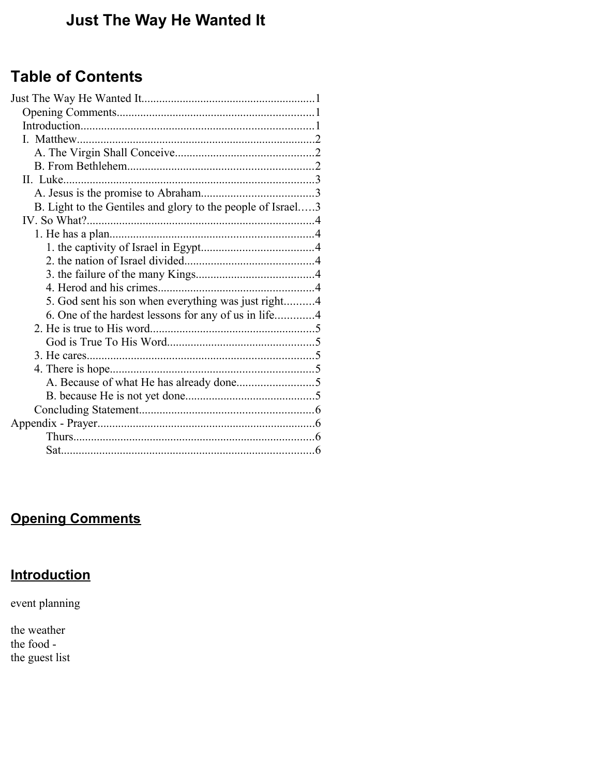# **Just The Way He Wanted It**

# **Table of Contents**

| B. Light to the Gentiles and glory to the people of Israel3 |  |
|-------------------------------------------------------------|--|
|                                                             |  |
|                                                             |  |
|                                                             |  |
|                                                             |  |
|                                                             |  |
|                                                             |  |
| 5. God sent his son when everything was just right4         |  |
| 6. One of the hardest lessons for any of us in life4        |  |
|                                                             |  |
|                                                             |  |
|                                                             |  |
|                                                             |  |
|                                                             |  |
|                                                             |  |
|                                                             |  |
|                                                             |  |
|                                                             |  |
|                                                             |  |

# **Opening Comments**

# **Introduction**

event planning

the weather the food the guest list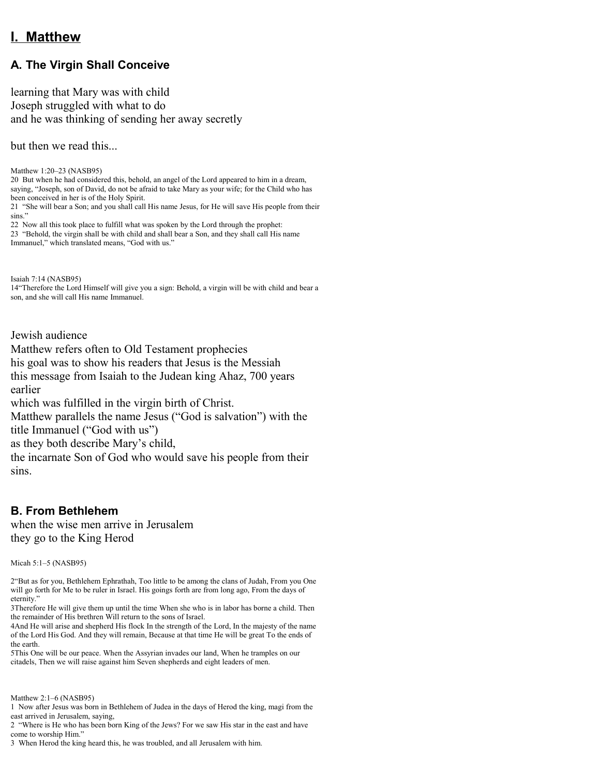## **I. Matthew**

## **A. The Virgin Shall Conceive**

learning that Mary was with child Joseph struggled with what to do and he was thinking of sending her away secretly

but then we read this...

Matthew 1:20–23 (NASB95) 20 But when he had considered this, behold, an angel of the Lord appeared to him in a dream, saying, "Joseph, son of David, do not be afraid to take Mary as your wife; for the Child who has been conceived in her is of the Holy Spirit. 21 "She will bear a Son; and you shall call His name Jesus, for He will save His people from their

sins."

22 Now all this took place to fulfill what was spoken by the Lord through the prophet: 23 "Behold, the virgin shall be with child and shall bear a Son, and they shall call His name

Immanuel," which translated means, "God with us."

Isaiah 7:14 (NASB95)

14"Therefore the Lord Himself will give you a sign: Behold, a virgin will be with child and bear a son, and she will call His name Immanuel.

Jewish audience

Matthew refers often to Old Testament prophecies his goal was to show his readers that Jesus is the Messiah this message from Isaiah to the Judean king Ahaz, 700 years earlier which was fulfilled in the virgin birth of Christ. Matthew parallels the name Jesus ("God is salvation") with the title Immanuel ("God with us") as they both describe Mary's child,

the incarnate Son of God who would save his people from their

sins.

## **B. From Bethlehem**

when the wise men arrive in Jerusalem they go to the King Herod

Micah 5:1–5 (NASB95)

2"But as for you, Bethlehem Ephrathah, Too little to be among the clans of Judah, From you One will go forth for Me to be ruler in Israel. His goings forth are from long ago, From the days of eternity."

3Therefore He will give them up until the time When she who is in labor has borne a child. Then the remainder of His brethren Will return to the sons of Israel.

4And He will arise and shepherd His flock In the strength of the Lord, In the majesty of the name of the Lord His God. And they will remain, Because at that time He will be great To the ends of the earth.

5This One will be our peace. When the Assyrian invades our land, When he tramples on our citadels, Then we will raise against him Seven shepherds and eight leaders of men.

Matthew 2:1–6 (NASB95)

1 Now after Jesus was born in Bethlehem of Judea in the days of Herod the king, magi from the east arrived in Jerusalem, saying,

2 "Where is He who has been born King of the Jews? For we saw His star in the east and have come to worship Him."

3 When Herod the king heard this, he was troubled, and all Jerusalem with him.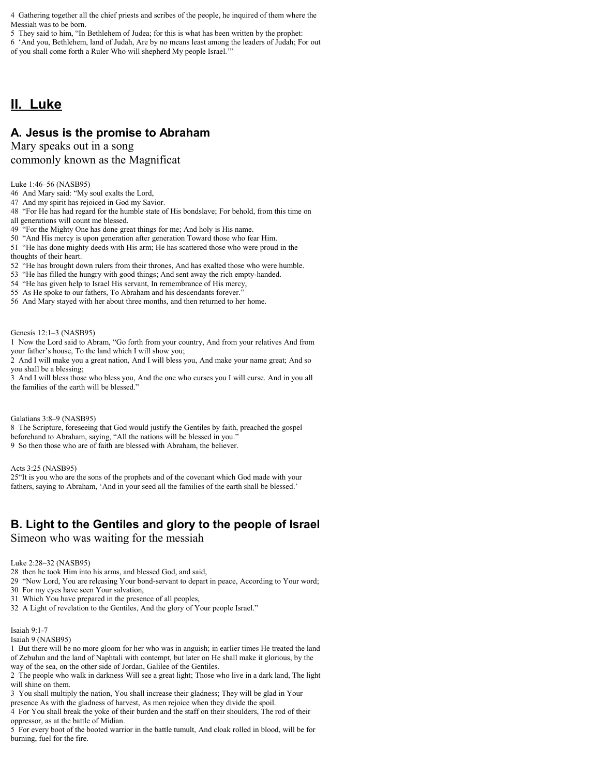4 Gathering together all the chief priests and scribes of the people, he inquired of them where the Messiah was to be born.

5 They said to him, "In Bethlehem of Judea; for this is what has been written by the prophet:

6 'And you, Bethlehem, land of Judah, Are by no means least among the leaders of Judah; For out of you shall come forth a Ruler Who will shepherd My people Israel.'"

## **II. Luke**

### **A. Jesus is the promise to Abraham**

#### Mary speaks out in a song commonly known as the Magnificat

#### Luke 1:46–56 (NASB95)

46 And Mary said: "My soul exalts the Lord,

47 And my spirit has rejoiced in God my Savior.

48 "For He has had regard for the humble state of His bondslave; For behold, from this time on all generations will count me blessed.

49 "For the Mighty One has done great things for me; And holy is His name.

50 "And His mercy is upon generation after generation Toward those who fear Him.

51 "He has done mighty deeds with His arm; He has scattered those who were proud in the thoughts of their heart.

52 "He has brought down rulers from their thrones, And has exalted those who were humble.

53 "He has filled the hungry with good things; And sent away the rich empty-handed.

54 "He has given help to Israel His servant, In remembrance of His mercy,

55 As He spoke to our fathers, To Abraham and his descendants forever."

56 And Mary stayed with her about three months, and then returned to her home.

#### Genesis 12:1–3 (NASB95)

1 Now the Lord said to Abram, "Go forth from your country, And from your relatives And from your father's house, To the land which I will show you;

2 And I will make you a great nation, And I will bless you, And make your name great; And so you shall be a blessing;

3 And I will bless those who bless you, And the one who curses you I will curse. And in you all the families of the earth will be blessed."

#### Galatians 3:8–9 (NASB95)

8 The Scripture, foreseeing that God would justify the Gentiles by faith, preached the gospel beforehand to Abraham, saying, "All the nations will be blessed in you." 9 So then those who are of faith are blessed with Abraham, the believer.

Acts 3:25 (NASB95)

25"It is you who are the sons of the prophets and of the covenant which God made with your fathers, saying to Abraham, 'And in your seed all the families of the earth shall be blessed.'

### **B. Light to the Gentiles and glory to the people of Israel**

Simeon who was waiting for the messiah

Luke 2:28–32 (NASB95)

28 then he took Him into his arms, and blessed God, and said,

29 "Now Lord, You are releasing Your bond-servant to depart in peace, According to Your word;

30 For my eyes have seen Your salvation,

31 Which You have prepared in the presence of all peoples,

32 A Light of revelation to the Gentiles, And the glory of Your people Israel."

#### Isaiah 9:1-7

Isaiah 9 (NASB95)

1 But there will be no more gloom for her who was in anguish; in earlier times He treated the land of Zebulun and the land of Naphtali with contempt, but later on He shall make it glorious, by the way of the sea, on the other side of Jordan, Galilee of the Gentiles.

2 The people who walk in darkness Will see a great light; Those who live in a dark land, The light will shine on them.

3 You shall multiply the nation, You shall increase their gladness; They will be glad in Your

presence As with the gladness of harvest, As men rejoice when they divide the spoil.

4 For You shall break the yoke of their burden and the staff on their shoulders, The rod of their oppressor, as at the battle of Midian.

5 For every boot of the booted warrior in the battle tumult, And cloak rolled in blood, will be for burning, fuel for the fire.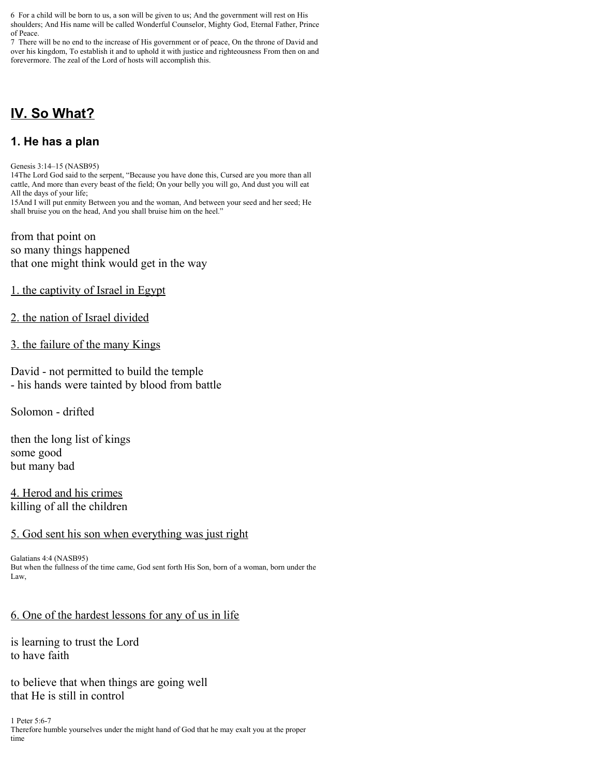6 For a child will be born to us, a son will be given to us; And the government will rest on His shoulders; And His name will be called Wonderful Counselor, Mighty God, Eternal Father, Prince of Peace.

7 There will be no end to the increase of His government or of peace, On the throne of David and over his kingdom, To establish it and to uphold it with justice and righteousness From then on and forevermore. The zeal of the Lord of hosts will accomplish this.

# **IV. So What?**

### **1. He has a plan**

Genesis 3:14–15 (NASB95)

14The Lord God said to the serpent, "Because you have done this, Cursed are you more than all cattle, And more than every beast of the field; On your belly you will go, And dust you will eat All the days of your life;

15And I will put enmity Between you and the woman, And between your seed and her seed; He shall bruise you on the head, And you shall bruise him on the heel."

from that point on so many things happened that one might think would get in the way

1. the captivity of Israel in Egypt

#### 2. the nation of Israel divided

#### 3. the failure of the many Kings

David - not permitted to build the temple - his hands were tainted by blood from battle

Solomon - drifted

then the long list of kings some good but many bad

4. Herod and his crimes killing of all the children

#### 5. God sent his son when everything was just right

Galatians 4:4 (NASB95) But when the fullness of the time came, God sent forth His Son, born of a woman, born under the Law,

#### 6. One of the hardest lessons for any of us in life

is learning to trust the Lord to have faith

to believe that when things are going well that He is still in control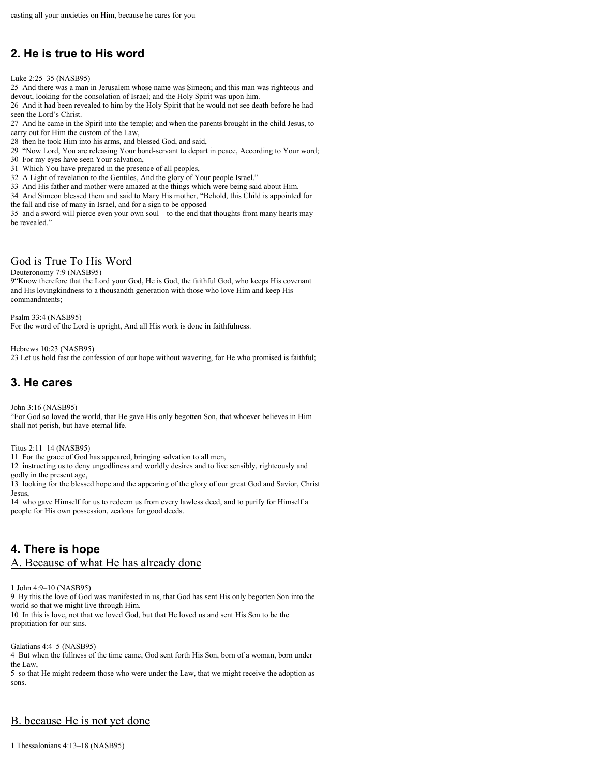## **2. He is true to His word**

Luke 2:25–35 (NASB95)

25 And there was a man in Jerusalem whose name was Simeon; and this man was righteous and devout, looking for the consolation of Israel; and the Holy Spirit was upon him.

26 And it had been revealed to him by the Holy Spirit that he would not see death before he had seen the Lord's Christ.

27 And he came in the Spirit into the temple; and when the parents brought in the child Jesus, to carry out for Him the custom of the Law,

28 then he took Him into his arms, and blessed God, and said,

29 "Now Lord, You are releasing Your bond-servant to depart in peace, According to Your word;

30 For my eyes have seen Your salvation,

31 Which You have prepared in the presence of all peoples,

32 A Light of revelation to the Gentiles, And the glory of Your people Israel."

33 And His father and mother were amazed at the things which were being said about Him.

34 And Simeon blessed them and said to Mary His mother, "Behold, this Child is appointed for

the fall and rise of many in Israel, and for a sign to be opposed—

35 and a sword will pierce even your own soul—to the end that thoughts from many hearts may be revealed."

#### God is True To His Word

Deuteronomy 7:9 (NASB95)

9"Know therefore that the Lord your God, He is God, the faithful God, who keeps His covenant and His lovingkindness to a thousandth generation with those who love Him and keep His commandments;

Psalm 33:4 (NASB95) For the word of the Lord is upright, And all His work is done in faithfulness.

Hebrews 10:23 (NASB95) 23 Let us hold fast the confession of our hope without wavering, for He who promised is faithful;

### **3. He cares**

John 3:16 (NASB95)

"For God so loved the world, that He gave His only begotten Son, that whoever believes in Him shall not perish, but have eternal life.

#### Titus 2:11–14 (NASB95)

11 For the grace of God has appeared, bringing salvation to all men,

12 instructing us to deny ungodliness and worldly desires and to live sensibly, righteously and godly in the present age,

13 looking for the blessed hope and the appearing of the glory of our great God and Savior, Christ Jesus,

14 who gave Himself for us to redeem us from every lawless deed, and to purify for Himself a people for His own possession, zealous for good deeds.

## **4. There is hope**

#### A. Because of what He has already done

1 John 4:9–10 (NASB95)

9 By this the love of God was manifested in us, that God has sent His only begotten Son into the world so that we might live through Him. 10 In this is love, not that we loved God, but that He loved us and sent His Son to be the propitiation for our sins.

Galatians 4:4–5 (NASB95)

4 But when the fullness of the time came, God sent forth His Son, born of a woman, born under the Law,

5 so that He might redeem those who were under the Law, that we might receive the adoption as sons.

#### B. because He is not yet done